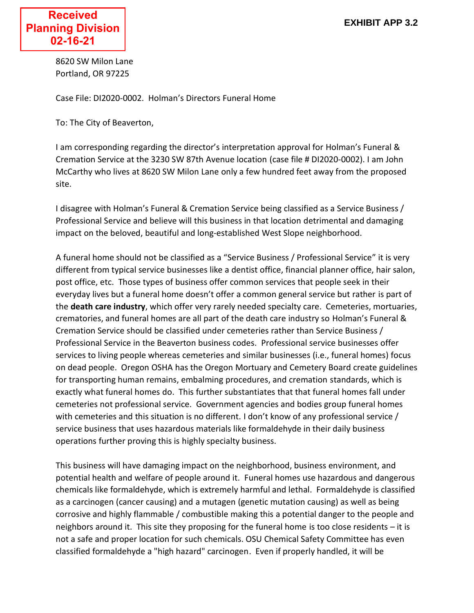8620 SW Milon Lane Portland, OR 97225

Case File: DI2020-0002. Holman's Directors Funeral Home

To: The City of Beaverton,

I am corresponding regarding the director's interpretation approval for Holman's Funeral & Cremation Service at the 3230 SW 87th Avenue location (case file # DI2020-0002). I am John McCarthy who lives at 8620 SW Milon Lane only a few hundred feet away from the proposed site.

I disagree with Holman's Funeral & Cremation Service being classified as a Service Business / Professional Service and believe will this business in that location detrimental and damaging impact on the beloved, beautiful and long-established West Slope neighborhood.

A funeral home should not be classified as a "Service Business / Professional Service" it is very different from typical service businesses like a dentist office, financial planner office, hair salon, post office, etc. Those types of business offer common services that people seek in their everyday lives but a funeral home doesn't offer a common general service but rather is part of the **death care industry**, which offer very rarely needed specialty care. Cemeteries, mortuaries, crematories, and funeral homes are all part of the death care industry so Holman's Funeral & Cremation Service should be classified under cemeteries rather than Service Business / Professional Service in the Beaverton business codes. Professional service businesses offer services to living people whereas cemeteries and similar businesses (i.e., funeral homes) focus on dead people. Oregon OSHA has the Oregon Mortuary and Cemetery Board create guidelines for transporting human remains, embalming procedures, and cremation standards, which is exactly what funeral homes do. This further substantiates that that funeral homes fall under cemeteries not professional service. Government agencies and bodies group funeral homes with cemeteries and this situation is no different. I don't know of any professional service / service business that uses hazardous materials like formaldehyde in their daily business operations further proving this is highly specialty business.

This business will have damaging impact on the neighborhood, business environment, and potential health and welfare of people around it. Funeral homes use hazardous and dangerous chemicals like formaldehyde, which is extremely harmful and lethal. Formaldehyde is classified as a carcinogen (cancer causing) and a mutagen (genetic mutation causing) as well as being corrosive and highly flammable / combustible making this a potential danger to the people and neighbors around it. This site they proposing for the funeral home is too close residents – it is not a safe and proper location for such chemicals. OSU Chemical Safety Committee has even classified formaldehyde a "high hazard" carcinogen. Even if properly handled, it will be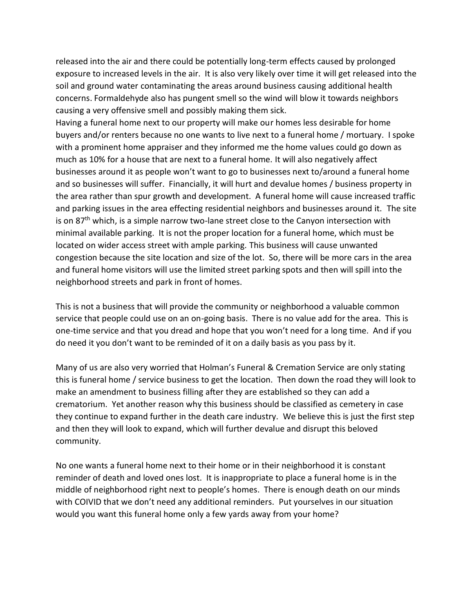released into the air and there could be potentially long-term effects caused by prolonged exposure to increased levels in the air. It is also very likely over time it will get released into the soil and ground water contaminating the areas around business causing additional health concerns. Formaldehyde also has pungent smell so the wind will blow it towards neighbors causing a very offensive smell and possibly making them sick.

Having a funeral home next to our property will make our homes less desirable for home buyers and/or renters because no one wants to live next to a funeral home / mortuary. I spoke with a prominent home appraiser and they informed me the home values could go down as much as 10% for a house that are next to a funeral home. It will also negatively affect businesses around it as people won't want to go to businesses next to/around a funeral home and so businesses will suffer. Financially, it will hurt and devalue homes / business property in the area rather than spur growth and development. A funeral home will cause increased traffic and parking issues in the area effecting residential neighbors and businesses around it. The site is on  $87<sup>th</sup>$  which, is a simple narrow two-lane street close to the Canyon intersection with minimal available parking. It is not the proper location for a funeral home, which must be located on wider access street with ample parking. This business will cause unwanted congestion because the site location and size of the lot. So, there will be more cars in the area and funeral home visitors will use the limited street parking spots and then will spill into the neighborhood streets and park in front of homes.

This is not a business that will provide the community or neighborhood a valuable common service that people could use on an on-going basis. There is no value add for the area. This is one-time service and that you dread and hope that you won't need for a long time. And if you do need it you don't want to be reminded of it on a daily basis as you pass by it.

Many of us are also very worried that Holman's Funeral & Cremation Service are only stating this is funeral home / service business to get the location. Then down the road they will look to make an amendment to business filling after they are established so they can add a crematorium. Yet another reason why this business should be classified as cemetery in case they continue to expand further in the death care industry. We believe this is just the first step and then they will look to expand, which will further devalue and disrupt this beloved community.

No one wants a funeral home next to their home or in their neighborhood it is constant reminder of death and loved ones lost. It is inappropriate to place a funeral home is in the middle of neighborhood right next to people's homes. There is enough death on our minds with COIVID that we don't need any additional reminders. Put yourselves in our situation would you want this funeral home only a few yards away from your home?